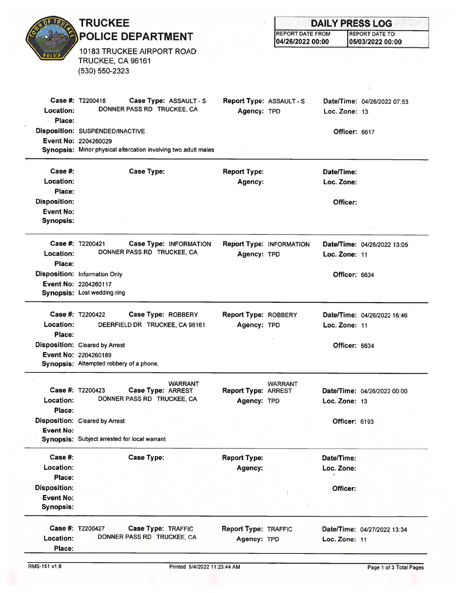|                                      | <b>TRUCKEE</b><br><b>POLICE DEPARTMENT</b>                                             |                                            |                                             | <b>DAILY PRESS LOG</b> |                                           |  |
|--------------------------------------|----------------------------------------------------------------------------------------|--------------------------------------------|---------------------------------------------|------------------------|-------------------------------------------|--|
|                                      |                                                                                        |                                            | <b>REPORT DATE FROM</b><br>04/26/2022 00:00 |                        | <b>REPORT DATE TO</b><br>05/03/2022 00:00 |  |
| POLIC                                | <b>10183 TRUCKEE AIRPORT ROAD</b><br>TRUCKEE, CA 96161                                 |                                            |                                             |                        |                                           |  |
|                                      | (530) 550-2323                                                                         |                                            |                                             |                        |                                           |  |
|                                      |                                                                                        |                                            |                                             |                        |                                           |  |
| Location:<br>Place:                  | <b>Case #: T2200418</b><br>Case Type: ASSAULT - S<br>DONNER PASS RD TRUCKEE, CA        | Report Type: ASSAULT - S<br>Agency: TPD    |                                             | Loc. Zone: $13$        | Date/Time: 04/26/2022 07:53               |  |
|                                      | Disposition: SUSPENDED/INACTIVE                                                        |                                            |                                             | <b>Officer: 6617</b>   |                                           |  |
|                                      | Event No: 2204260029<br>Synopsis: Minor physical altercation involving two adult males |                                            |                                             |                        |                                           |  |
| Case #:                              | <b>Case Type:</b>                                                                      | <b>Report Type:</b>                        |                                             | Date/Time:             |                                           |  |
| Location:<br>Place:                  |                                                                                        | Agency:                                    |                                             | Loc. Zone:             |                                           |  |
| <b>Disposition:</b>                  |                                                                                        |                                            |                                             | Officer:               |                                           |  |
| <b>Event No:</b><br><b>Synopsis:</b> |                                                                                        |                                            |                                             |                        |                                           |  |
| Location:                            | Case #: T2200421<br>Case Type: INFORMATION<br>DONNER PASS RD TRUCKEE, CA               | Agency: TPD                                | <b>Report Type: INFORMATION</b>             | Loc. Zone: 11          | Date/Time: 04/26/2022 13:05               |  |
| Place:                               |                                                                                        |                                            |                                             |                        |                                           |  |
|                                      | <b>Disposition: Information Only</b><br>Event No: 2204260117                           |                                            |                                             | Officer: 6634          |                                           |  |
|                                      | Synopsis: Lost wedding ring                                                            |                                            |                                             |                        |                                           |  |
|                                      | Case #: T2200422<br>Case Type: ROBBERY                                                 | <b>Report Type: ROBBERY</b>                |                                             |                        | Date/Time: 04/26/2022 16:46               |  |
| Location:                            | DEERFIELD DR TRUCKEE, CA 96161                                                         | Agency: TPD                                |                                             | Loc. Zone: 11          |                                           |  |
| Place:                               | <b>Disposition: Cleared by Arrest</b>                                                  |                                            |                                             | Officer: 6634          |                                           |  |
|                                      | <b>Event No: 2204260189</b>                                                            |                                            |                                             |                        |                                           |  |
|                                      | Synopsis: Attempted robbery of a phone.                                                |                                            |                                             |                        |                                           |  |
|                                      | <b>WARRANT</b><br>Case #: T2200423<br>Case Type: ARREST                                | <b>Report Type: ARREST</b>                 | <b>WARRANT</b>                              |                        | Date/Time: 04/26/2022 00:00               |  |
| Location:<br>Place:                  | DONNER PASS RD TRUCKEE, CA                                                             | Agency: TPD                                |                                             | Loc. Zone: 13          |                                           |  |
|                                      | <b>Disposition:</b> Cleared by Arrest                                                  |                                            |                                             | Officer: 6193          |                                           |  |
| <b>Event No:</b>                     | Synopsis: Subject arrested for local warrant                                           |                                            |                                             |                        |                                           |  |
| Case#:                               | <b>Case Type:</b>                                                                      | <b>Report Type:</b>                        |                                             | Date/Time:             |                                           |  |
| Location:                            |                                                                                        | Agency:                                    |                                             | Loc. Zone:             |                                           |  |
| Place:<br><b>Disposition:</b>        |                                                                                        |                                            |                                             | Officer:               |                                           |  |
| <b>Event No:</b>                     |                                                                                        |                                            |                                             |                        |                                           |  |
| <b>Synopsis:</b>                     |                                                                                        |                                            |                                             |                        |                                           |  |
| Location:<br>Place:                  | Case #: T2200427<br>Case Type: TRAFFIC<br>DONNER PASS RD TRUCKEE, CA                   | <b>Report Type: TRAFFIC</b><br>Agency: TPD |                                             | Loc. Zone: 11          | Date/Time: 04/27/2022 13:34               |  |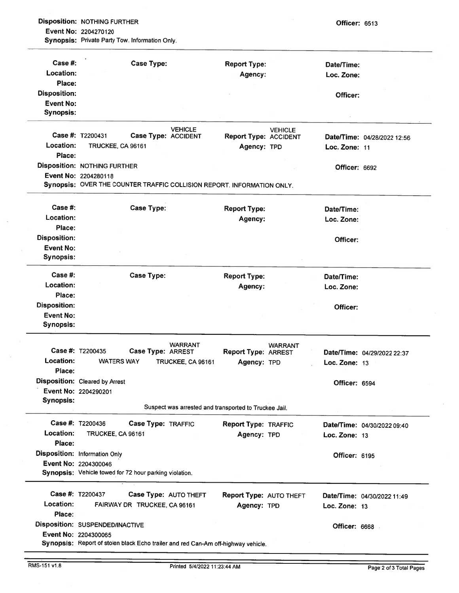Disposition: NOTHING FURTHER **CONSERVATION CONSERVATION** Event No: 2204270120

Synopsis: Private Party Tow. Information Only.

| Case  #:            | <b>Case Type:</b>                                                      |                                                       | <b>Report Type:</b>            |                | Date/Time:           |                             |
|---------------------|------------------------------------------------------------------------|-------------------------------------------------------|--------------------------------|----------------|----------------------|-----------------------------|
| Location:           |                                                                        |                                                       | Agency:                        |                | Loc. Zone:           |                             |
| Place:              |                                                                        |                                                       |                                |                |                      |                             |
| <b>Disposition:</b> |                                                                        |                                                       |                                |                | Officer:             |                             |
| <b>Event No:</b>    |                                                                        |                                                       |                                |                |                      |                             |
| <b>Synopsis:</b>    |                                                                        |                                                       |                                |                |                      |                             |
|                     |                                                                        |                                                       |                                |                |                      |                             |
|                     | Case #: T2200431<br>Case Type: ACCIDENT                                | <b>VEHICLE</b>                                        | <b>Report Type: ACCIDENT</b>   | <b>VEHICLE</b> |                      | Date/Time: 04/28/2022 12:56 |
| Location:           | TRUCKEE, CA 96161                                                      |                                                       | Agency: TPD                    |                | Loc. Zone: 11        |                             |
| Place:              |                                                                        |                                                       |                                |                |                      |                             |
|                     | <b>Disposition: NOTHING FURTHER</b>                                    |                                                       |                                |                | Officer: 6692        |                             |
|                     | Event No: 2204280118                                                   |                                                       |                                |                |                      |                             |
|                     | Synopsis: OVER THE COUNTER TRAFFIC COLLISION REPORT. INFORMATION ONLY. |                                                       |                                |                |                      |                             |
|                     |                                                                        |                                                       |                                |                |                      |                             |
| Case #:             | <b>Case Type:</b>                                                      |                                                       | <b>Report Type:</b>            |                | Date/Time:           |                             |
| Location:           |                                                                        |                                                       | Agency:                        |                | Loc. Zone:           |                             |
| Place:              |                                                                        |                                                       |                                |                |                      |                             |
| <b>Disposition:</b> |                                                                        |                                                       |                                |                | Officer:             |                             |
| <b>Event No:</b>    |                                                                        |                                                       |                                |                |                      |                             |
| <b>Synopsis:</b>    |                                                                        |                                                       |                                |                |                      |                             |
| Case  #:            | <b>Case Type:</b>                                                      |                                                       | <b>Report Type:</b>            |                | Date/Time:           |                             |
| Location:           |                                                                        |                                                       | Agency:                        |                | Loc. Zone:           |                             |
| Place:              |                                                                        |                                                       |                                |                |                      |                             |
| <b>Disposition:</b> |                                                                        |                                                       |                                |                | Officer:             |                             |
| Event No:           |                                                                        |                                                       |                                |                |                      |                             |
| <b>Synopsis:</b>    |                                                                        |                                                       |                                |                |                      |                             |
|                     |                                                                        |                                                       |                                |                |                      |                             |
|                     | Case #: T2200435<br>Case Type: ARREST                                  | <b>WARRANT</b>                                        | <b>Report Type: ARREST</b>     | <b>WARRANT</b> |                      | Date/Time: 04/29/2022 22:37 |
| Location:           | <b>WATERS WAY</b>                                                      | TRUCKEE, CA 96161                                     |                                |                |                      |                             |
| Place:              |                                                                        |                                                       | Agency: TPD                    |                | Loc. Zone: 13        |                             |
|                     | <b>Disposition:</b> Cleared by Arrest                                  |                                                       |                                |                |                      |                             |
|                     |                                                                        |                                                       |                                |                | Officer: 6594        |                             |
|                     | Event No: 2204290201                                                   |                                                       |                                |                |                      |                             |
| <b>Synopsis:</b>    |                                                                        | Suspect was arrested and transported to Truckee Jail. |                                |                |                      |                             |
|                     | Case #: T2200436<br>Case Type: TRAFFIC                                 |                                                       | <b>Report Type: TRAFFIC</b>    |                |                      | Date/Time: 04/30/2022 09:40 |
| Location:           | TRUCKEE, CA 96161                                                      |                                                       | Agency: TPD                    |                | Loc. Zone: 13        |                             |
| Place:              |                                                                        |                                                       |                                |                |                      |                             |
|                     | <b>Disposition: Information Only</b>                                   |                                                       |                                |                | Officer: 6195        |                             |
|                     | Event No: 2204300046                                                   |                                                       |                                |                |                      |                             |
|                     | Synopsis: Vehicle towed for 72 hour parking violation.                 |                                                       |                                |                |                      |                             |
|                     |                                                                        |                                                       |                                |                |                      |                             |
|                     | <b>Case #: T2200437</b>                                                | Case Type: AUTO THEFT                                 | <b>Report Type: AUTO THEFT</b> |                |                      | Date/Time: 04/30/2022 11:49 |
| Location:           | FAIRWAY DR TRUCKEE, CA 96161                                           |                                                       | Agency: TPD                    |                | Loc. Zone: 13        |                             |
| Place:              |                                                                        |                                                       |                                |                |                      |                             |
|                     | Disposition: SUSPENDED/INACTIVE                                        |                                                       |                                |                | <b>Officer: 6668</b> |                             |
|                     | Event No: 2204300065                                                   |                                                       |                                |                |                      |                             |
|                     |                                                                        |                                                       |                                |                |                      |                             |